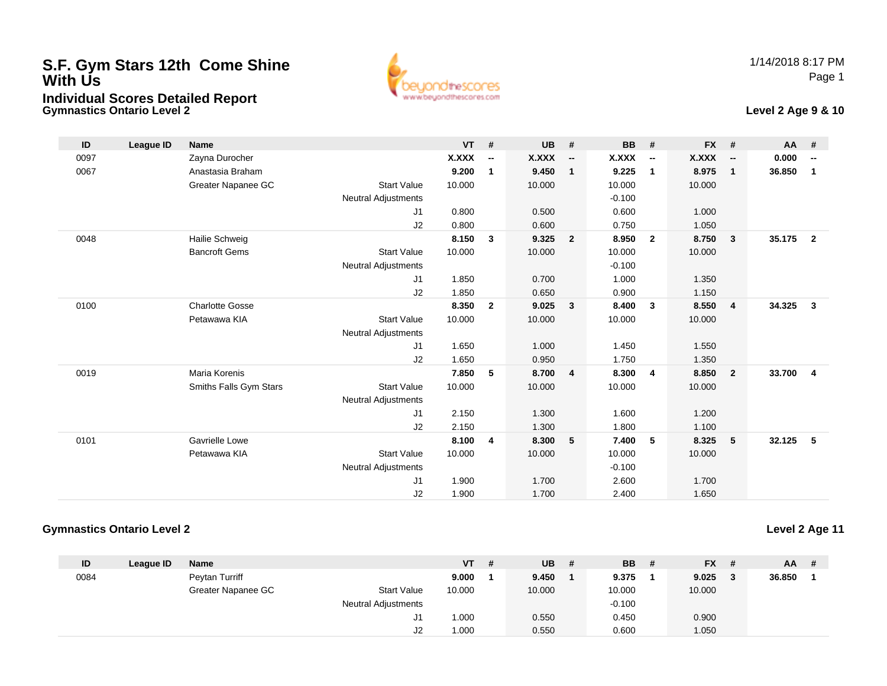## **S.F. Gym Stars 12th Come Shine With UsIndividual Scores Detailed Report**

**Gymnastics Ontario Level 2**





| ID   | League ID | <b>Name</b>            |                            | <b>VT</b>    | #                        | <b>UB</b>    | #                        | <b>BB</b>    | #                        | <b>FX</b>    | #                        | AA     | #                        |
|------|-----------|------------------------|----------------------------|--------------|--------------------------|--------------|--------------------------|--------------|--------------------------|--------------|--------------------------|--------|--------------------------|
| 0097 |           | Zayna Durocher         |                            | <b>X.XXX</b> | $\overline{\phantom{a}}$ | <b>X.XXX</b> | $\overline{\phantom{a}}$ | <b>X.XXX</b> | $\overline{\phantom{a}}$ | <b>X.XXX</b> | $\overline{\phantom{a}}$ | 0.000  | $\overline{\phantom{a}}$ |
| 0067 |           | Anastasia Braham       |                            | 9.200        | 1                        | 9.450        | $\mathbf{1}$             | 9.225        | $\mathbf{1}$             | 8.975        | $\mathbf{1}$             | 36.850 | $\mathbf 1$              |
|      |           | Greater Napanee GC     | <b>Start Value</b>         | 10.000       |                          | 10.000       |                          | 10.000       |                          | 10.000       |                          |        |                          |
|      |           |                        | <b>Neutral Adjustments</b> |              |                          |              |                          | $-0.100$     |                          |              |                          |        |                          |
|      |           |                        | J1                         | 0.800        |                          | 0.500        |                          | 0.600        |                          | 1.000        |                          |        |                          |
|      |           |                        | J2                         | 0.800        |                          | 0.600        |                          | 0.750        |                          | 1.050        |                          |        |                          |
| 0048 |           | Hailie Schweig         |                            | 8.150        | $\mathbf{3}$             | 9.325        | $\overline{\mathbf{2}}$  | 8.950        | $\overline{2}$           | 8.750        | 3                        | 35.175 | $\overline{2}$           |
|      |           | <b>Bancroft Gems</b>   | <b>Start Value</b>         | 10.000       |                          | 10.000       |                          | 10.000       |                          | 10.000       |                          |        |                          |
|      |           |                        | <b>Neutral Adjustments</b> |              |                          |              |                          | $-0.100$     |                          |              |                          |        |                          |
|      |           |                        | J <sub>1</sub>             | 1.850        |                          | 0.700        |                          | 1.000        |                          | 1.350        |                          |        |                          |
|      |           |                        | J2                         | 1.850        |                          | 0.650        |                          | 0.900        |                          | 1.150        |                          |        |                          |
| 0100 |           | <b>Charlotte Gosse</b> |                            | 8.350        | $\overline{2}$           | 9.025        | $\overline{\mathbf{3}}$  | 8.400        | 3                        | 8.550        | $\overline{\mathbf{4}}$  | 34.325 | $\mathbf{3}$             |
|      |           | Petawawa KIA           | <b>Start Value</b>         | 10.000       |                          | 10.000       |                          | 10.000       |                          | 10.000       |                          |        |                          |
|      |           |                        | <b>Neutral Adjustments</b> |              |                          |              |                          |              |                          |              |                          |        |                          |
|      |           |                        | J1                         | 1.650        |                          | 1.000        |                          | 1.450        |                          | 1.550        |                          |        |                          |
|      |           |                        | J2                         | 1.650        |                          | 0.950        |                          | 1.750        |                          | 1.350        |                          |        |                          |
| 0019 |           | <b>Maria Korenis</b>   |                            | 7.850        | 5                        | 8.700        | $\overline{4}$           | 8.300        | $\overline{4}$           | 8.850        | $\overline{2}$           | 33.700 | $\overline{\mathbf{4}}$  |
|      |           | Smiths Falls Gym Stars | <b>Start Value</b>         | 10.000       |                          | 10.000       |                          | 10.000       |                          | 10.000       |                          |        |                          |
|      |           |                        | <b>Neutral Adjustments</b> |              |                          |              |                          |              |                          |              |                          |        |                          |
|      |           |                        | J <sub>1</sub>             | 2.150        |                          | 1.300        |                          | 1.600        |                          | 1.200        |                          |        |                          |
|      |           |                        | J2                         | 2.150        |                          | 1.300        |                          | 1.800        |                          | 1.100        |                          |        |                          |
| 0101 |           | Gavrielle Lowe         |                            | 8.100        | 4                        | 8.300        | 5                        | 7.400        | 5                        | 8.325        | 5                        | 32.125 | 5                        |
|      |           | Petawawa KIA           | <b>Start Value</b>         | 10.000       |                          | 10.000       |                          | 10.000       |                          | 10.000       |                          |        |                          |
|      |           |                        | <b>Neutral Adjustments</b> |              |                          |              |                          | $-0.100$     |                          |              |                          |        |                          |
|      |           |                        | J1                         | 1.900        |                          | 1.700        |                          | 2.600        |                          | 1.700        |                          |        |                          |
|      |           |                        | J2                         | 1.900        |                          | 1.700        |                          | 2.400        |                          | 1.650        |                          |        |                          |

## **Gymnastics Ontario Level 2**

**Level 2 Age 11**

| ID   | League ID | <b>Name</b>        |                            | VT     | - # | <b>UB</b> | # | <b>BB</b> | # | $FX$ # | $AA$ # |  |
|------|-----------|--------------------|----------------------------|--------|-----|-----------|---|-----------|---|--------|--------|--|
| 0084 |           | Peytan Turriff     |                            | 9.000  |     | 9.450     |   | 9.375     |   | 9.025  | 36.850 |  |
|      |           | Greater Napanee GC | <b>Start Value</b>         | 10.000 |     | 10.000    |   | 10.000    |   | 10.000 |        |  |
|      |           |                    | <b>Neutral Adjustments</b> |        |     |           |   | $-0.100$  |   |        |        |  |
|      |           |                    | J1                         | 1.000  |     | 0.550     |   | 0.450     |   | 0.900  |        |  |
|      |           |                    | J2                         | 1.000  |     | 0.550     |   | 0.600     |   | 1.050  |        |  |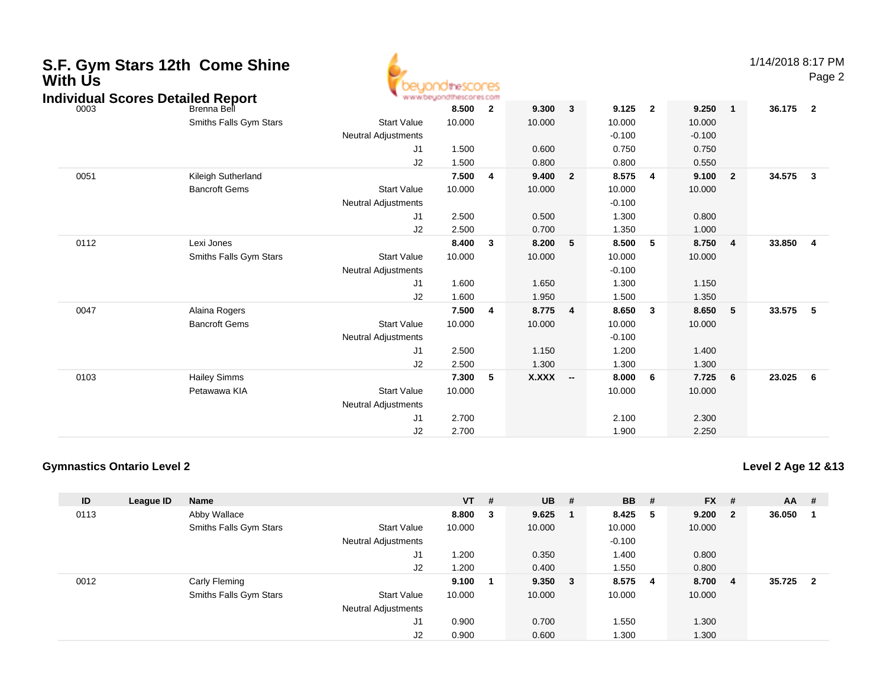| <b>With Us</b> | S.F. Gym Stars 12th Come Shine<br><b>Individual Scores Detailed Report</b> | <b>10theSCOCES</b><br>www.beyondthescores.com                            |                                   |                         |                                   |                          |                                               |                |                                                               |  |          | 1/14/2018 8:17 PM<br>Page 2 |  |
|----------------|----------------------------------------------------------------------------|--------------------------------------------------------------------------|-----------------------------------|-------------------------|-----------------------------------|--------------------------|-----------------------------------------------|----------------|---------------------------------------------------------------|--|----------|-----------------------------|--|
| 0003           | Brenna Bell<br>Smiths Falls Gym Stars                                      | <b>Start Value</b><br><b>Neutral Adjustments</b><br>J <sub>1</sub><br>J2 | 8.500<br>10.000<br>1.500<br>1.500 | $\overline{2}$          | 9.300<br>10.000<br>0.600<br>0.800 | $\mathbf{3}$             | 9.125<br>10.000<br>$-0.100$<br>0.750<br>0.800 | $\overline{2}$ | 9.250<br>$\mathbf{1}$<br>10.000<br>$-0.100$<br>0.750<br>0.550 |  | 36.175 2 |                             |  |
| 0051           | Kileigh Sutherland<br><b>Bancroft Gems</b>                                 | <b>Start Value</b><br><b>Neutral Adjustments</b><br>J <sub>1</sub><br>J2 | 7.500<br>10.000<br>2.500<br>2.500 | $\overline{4}$          | 9.400<br>10.000<br>0.500<br>0.700 | $\overline{2}$           | 8.575<br>10.000<br>$-0.100$<br>1.300<br>1.350 | 4              | 9.100<br>$\overline{2}$<br>10.000<br>0.800<br>1.000           |  | 34.575   | $\mathbf{3}$                |  |
| 0112           | Lexi Jones<br>Smiths Falls Gym Stars                                       | <b>Start Value</b><br><b>Neutral Adjustments</b><br>J1<br>J2             | 8.400<br>10.000<br>1.600<br>1.600 | $\overline{\mathbf{3}}$ | 8.200<br>10.000<br>1.650<br>1.950 | 5                        | 8.500<br>10.000<br>$-0.100$<br>1.300<br>1.500 | 5              | 8.750<br>4<br>10.000<br>1.150<br>1.350                        |  | 33.850   | $\overline{4}$              |  |
| 0047           | Alaina Rogers<br><b>Bancroft Gems</b>                                      | <b>Start Value</b><br><b>Neutral Adjustments</b><br>J <sub>1</sub><br>J2 | 7.500<br>10.000<br>2.500<br>2.500 | 4                       | 8.775<br>10.000<br>1.150<br>1.300 | $\overline{4}$           | 8.650<br>10.000<br>$-0.100$<br>1.200<br>1.300 | $\mathbf{3}$   | 8.650<br>5<br>10.000<br>1.400<br>1.300                        |  | 33.575   | 5                           |  |
| 0103           | <b>Hailey Simms</b><br>Petawawa KIA                                        | <b>Start Value</b><br><b>Neutral Adjustments</b><br>J <sub>1</sub><br>J2 | 7.300<br>10.000<br>2.700<br>2.700 | -5                      | <b>X.XXX</b>                      | $\overline{\phantom{a}}$ | 8.000<br>10.000<br>2.100<br>1.900             | 6              | 7.725<br>6<br>10.000<br>2.300<br>2.250                        |  | 23.025   | 6                           |  |

## **Gymnastics Ontario Level 2**

**Level 2 Age 12 &13**

1/14/2018 8:17 PM

| ID   | League ID | <b>Name</b>            |                            | $VT$ # |                         | <b>UB</b> | #   | <b>BB</b> | # | <b>FX</b> | #              | $AA$ # |                         |
|------|-----------|------------------------|----------------------------|--------|-------------------------|-----------|-----|-----------|---|-----------|----------------|--------|-------------------------|
| 0113 |           | Abby Wallace           |                            | 8.800  | $\overline{\mathbf{3}}$ | 9.625     |     | 8.425     | 5 | 9.200     | $\mathbf{2}$   | 36.050 |                         |
|      |           | Smiths Falls Gym Stars | <b>Start Value</b>         | 10.000 |                         | 10.000    |     | 10.000    |   | 10.000    |                |        |                         |
|      |           |                        | <b>Neutral Adjustments</b> |        |                         |           |     | $-0.100$  |   |           |                |        |                         |
|      |           |                        | J1                         | 1.200  |                         | 0.350     |     | 1.400     |   | 0.800     |                |        |                         |
|      |           |                        | J2                         | 1.200  |                         | 0.400     |     | 1.550     |   | 0.800     |                |        |                         |
| 0012 |           | Carly Fleming          |                            | 9.100  |                         | 9.350     | - 3 | 8.575     | 4 | 8.700     | $\overline{4}$ | 35.725 | $\overline{\mathbf{2}}$ |
|      |           | Smiths Falls Gym Stars | <b>Start Value</b>         | 10.000 |                         | 10.000    |     | 10.000    |   | 10.000    |                |        |                         |
|      |           |                        | <b>Neutral Adjustments</b> |        |                         |           |     |           |   |           |                |        |                         |
|      |           |                        | J1                         | 0.900  |                         | 0.700     |     | 1.550     |   | 1.300     |                |        |                         |
|      |           |                        | J <sub>2</sub>             | 0.900  |                         | 0.600     |     | 1.300     |   | 1.300     |                |        |                         |